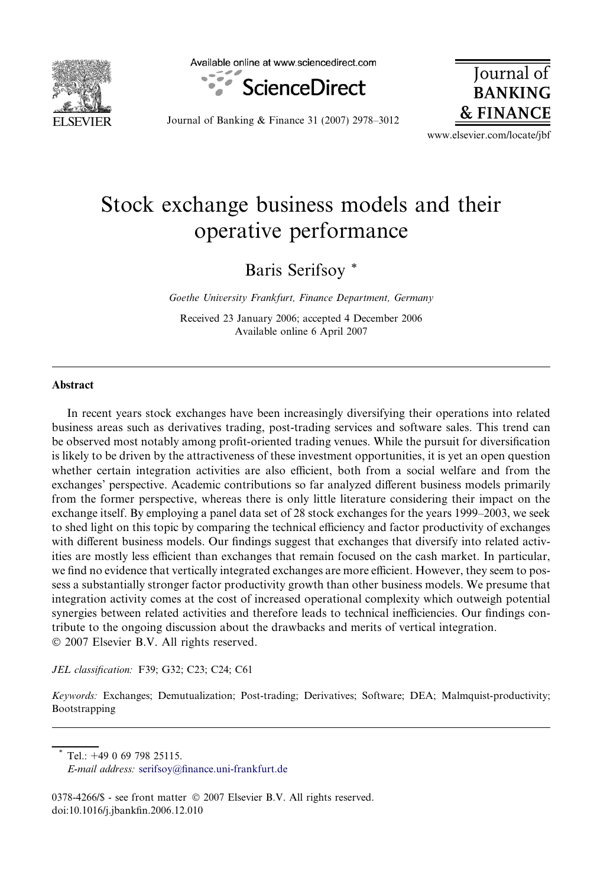

Available online at www.sciencedirect.com



**Journal** of **BANKING & FINANCE** 

Journal of Banking & Finance 31 (2007) 2978–3012

www.elsevier.com/locate/jbf

# Stock exchange business models and their operative performance

Baris Serifsoy \*

Goethe University Frankfurt, Finance Department, Germany

Received 23 January 2006; accepted 4 December 2006 Available online 6 April 2007

### Abstract

In recent years stock exchanges have been increasingly diversifying their operations into related business areas such as derivatives trading, post-trading services and software sales. This trend can be observed most notably among profit-oriented trading venues. While the pursuit for diversification is likely to be driven by the attractiveness of these investment opportunities, it is yet an open question whether certain integration activities are also efficient, both from a social welfare and from the exchanges' perspective. Academic contributions so far analyzed different business models primarily from the former perspective, whereas there is only little literature considering their impact on the exchange itself. By employing a panel data set of 28 stock exchanges for the years 1999–2003, we seek to shed light on this topic by comparing the technical efficiency and factor productivity of exchanges with different business models. Our findings suggest that exchanges that diversify into related activities are mostly less efficient than exchanges that remain focused on the cash market. In particular, we find no evidence that vertically integrated exchanges are more efficient. However, they seem to possess a substantially stronger factor productivity growth than other business models. We presume that integration activity comes at the cost of increased operational complexity which outweigh potential synergies between related activities and therefore leads to technical inefficiencies. Our findings contribute to the ongoing discussion about the drawbacks and merits of vertical integration. © 2007 Elsevier B.V. All rights reserved.

JEL classification: F39; G32; C23; C24; C61

Keywords: Exchanges; Demutualization; Post-trading; Derivatives; Software; DEA; Malmquist-productivity; Bootstrapping

Tel.: +49 0 69 798 25115.

0378-4266/\$ - see front matter © 2007 Elsevier B.V. All rights reserved. doi:10.1016/j.jbankfin.2006.12.010

E-mail address: [serifsoy@finance.uni-frankfurt.de](mailto:serifsoy@finance.uni-frankfurt.de)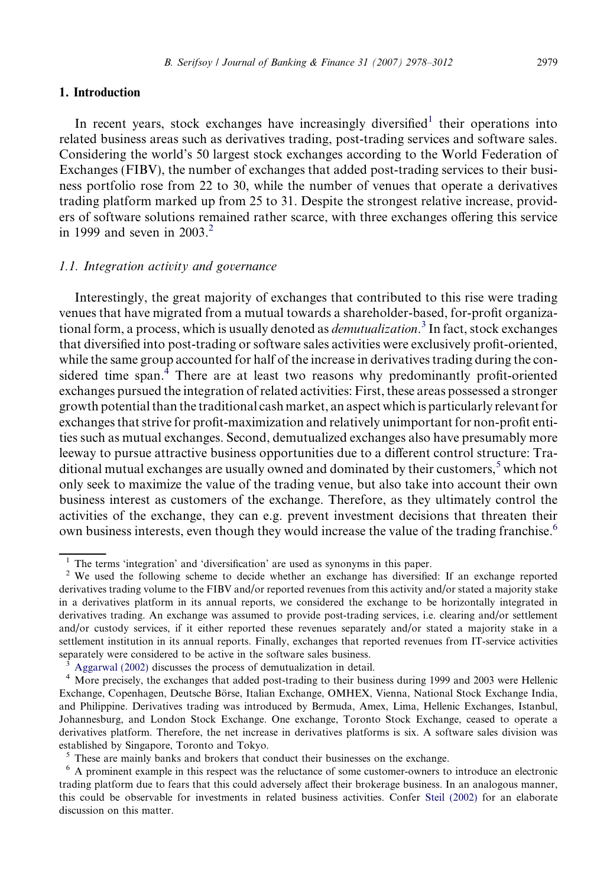#### 1. Introduction

In recent years, stock exchanges have increasingly diversified<sup>1</sup> their operations into related business areas such as derivatives trading, post-trading services and software sales. Considering the world's 50 largest stock exchanges according to the World Federation of Exchanges (FIBV), the number of exchanges that added post-trading services to their business portfolio rose from 22 to 30, while the number of venues that operate a derivatives trading platform marked up from 25 to 31. Despite the strongest relative increase, providers of software solutions remained rather scarce, with three exchanges offering this service in 1999 and seven in  $2003<sup>2</sup>$ 

#### 1.1. Integration activity and governance

Interestingly, the great majority of exchanges that contributed to this rise were trading venues that have migrated from a mutual towards a shareholder-based, for-profit organizational form, a process, which is usually denoted as *demutualization*.<sup>3</sup> In fact, stock exchanges that diversified into post-trading or software sales activities were exclusively profit-oriented, while the same group accounted for half of the increase in derivatives trading during the considered time span.<sup>4</sup> There are at least two reasons why predominantly profit-oriented exchanges pursued the integration of related activities: First, these areas possessed a stronger growth potential than the traditional cash market, an aspect which is particularly relevant for exchanges that strive for profit-maximization and relatively unimportant for non-profit entities such as mutual exchanges. Second, demutualized exchanges also have presumably more leeway to pursue attractive business opportunities due to a different control structure: Traditional mutual exchanges are usually owned and dominated by their customers, $5$  which not only seek to maximize the value of the trading venue, but also take into account their own business interest as customers of the exchange. Therefore, as they ultimately control the activities of the exchange, they can e.g. prevent investment decisions that threaten their own business interests, even though they would increase the value of the trading franchise.<sup>6</sup>

<sup>&</sup>lt;sup>1</sup> The terms 'integration' and 'diversification' are used as synonyms in this paper.<br><sup>2</sup> We used the following scheme to decide whether an exchange has diversified: If an exchange reported derivatives trading volume to the FIBV and/or reported revenues from this activity and/or stated a majority stake in a derivatives platform in its annual reports, we considered the exchange to be horizontally integrated in derivatives trading. An exchange was assumed to provide post-trading services, i.e. clearing and/or settlement and/or custody services, if it either reported these revenues separately and/or stated a majority stake in a settlement institution in its annual reports. Finally, exchanges that reported revenues from IT-service activities separately were considered to be active in the software sales business.<br><sup>3</sup> Aggarwal (2002) discusses the process of demutualization in detail.

More precisely, the exchanges that added post-trading to their business during 1999 and 2003 were Hellenic Exchange, Copenhagen, Deutsche Börse, Italian Exchange, OMHEX, Vienna, National Stock Exchange India, and Philippine. Derivatives trading was introduced by Bermuda, Amex, Lima, Hellenic Exchanges, Istanbul, Johannesburg, and London Stock Exchange. One exchange, Toronto Stock Exchange, ceased to operate a derivatives platform. Therefore, the net increase in derivatives platforms is six. A software sales division was established by Singapore, Toronto and Tokyo.

 $\frac{5}{6}$  These are mainly banks and brokers that conduct their businesses on the exchange.<br> $\frac{6}{6}$  A prominent example in this respect was the reluctance of some customer-owners to introduce an electronic trading platform due to fears that this could adversely affect their brokerage business. In an analogous manner, this could be observable for investments in related business activities. Confer [Steil \(2002\)](#page--1-0) for an elaborate discussion on this matter.